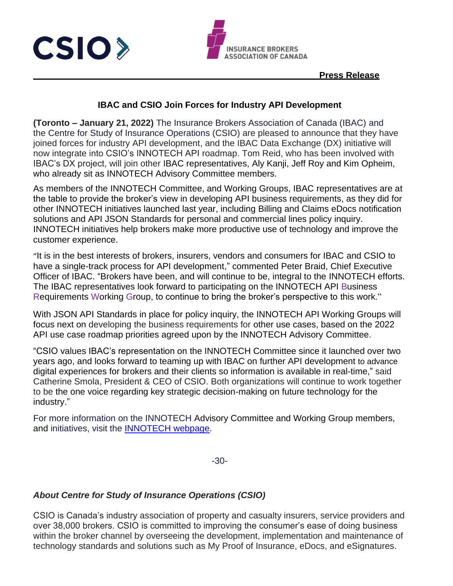



#### **Press Release**

#### **IBAC and CSIO Join Forces for Industry API Development**

**(Toronto – January 21, 2022)** The Insurance Brokers Association of Canada (IBAC) and the Centre for Study of Insurance Operations (CSIO) are pleased to announce that they have joined forces for industry API development, and the IBAC Data Exchange (DX) initiative will now integrate into CSIO's INNOTECH API roadmap. Tom Reid, who has been involved with IBAC's DX project, will join other IBAC representatives, Aly Kanji, Jeff Roy and Kim Opheim, who already sit as INNOTECH Advisory Committee members.

As members of the INNOTECH Committee, and Working Groups, IBAC representatives are at the table to provide the broker's view in developing API business requirements, as they did for other INNOTECH initiatives launched last year, including Billing and Claims eDocs notification solutions and API JSON Standards for personal and commercial lines policy inquiry. INNOTECH initiatives help brokers make more productive use of technology and improve the customer experience.

"It is in the best interests of brokers, insurers, vendors and consumers for IBAC and CSIO to have a single-track process for API development," commented Peter Braid, Chief Executive Officer of IBAC. "Brokers have been, and will continue to be, integral to the INNOTECH efforts. The IBAC representatives look forward to participating on the INNOTECH API Business Requirements Working Group, to continue to bring the broker's perspective to this work."

With JSON API Standards in place for policy inquiry, the INNOTECH API Working Groups will focus next on developing the business requirements for other use cases, based on the 2022 API use case roadmap priorities agreed upon by the INNOTECH Advisory Committee.

"CSIO values IBAC's representation on the INNOTECH Committee since it launched over two years ago, and looks forward to teaming up with IBAC on further API development to advance digital experiences for brokers and their clients so information is available in real-time," said Catherine Smola, President & CEO of CSIO. Both organizations will continue to work together to be the one voice regarding key strategic decision-making on future technology for the industry."

For more information on the INNOTECH Advisory Committee and Working Group members, and initiatives, visit the [INNOTECH webpage.](https://csio.com/solutions-tools/innotech-committee)

-30-

### *About Centre for Study of Insurance Operations (CSIO)*

CSIO is Canada's industry association of property and casualty insurers, service providers and over 38,000 brokers. CSIO is committed to improving the consumer's ease of doing business within the broker channel by overseeing the development, implementation and maintenance of technology standards and solutions such as My Proof of Insurance, eDocs, and eSignatures.